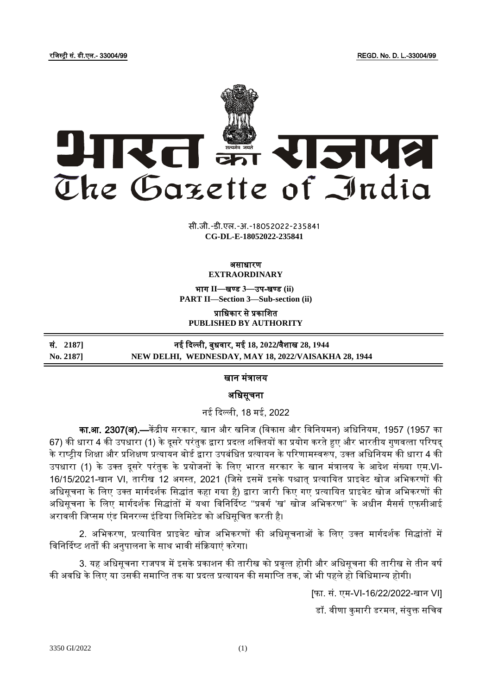रजिस्ट्री सं. डी.एल.- 33004/99 REGD. No. D. L.-33004/99



**xxxGIDHxxx xxx**GIDE**xxx CG-DL-E-18052022-235841**सी.जी.-डी.एल.-अ.-18052022-235841

## असाधारण **EXTRAORDINARY**

भाग **II**—खण् ड **3**—उप-खण् ड **(ii) PART II—Section 3—Sub-section (ii)**

प्राजधकार से प्रकाजित **PUBLISHED BY AUTHORITY**

| सं. 21871 | नई दिल्ली, बुधवार, मई 18, 2022/वैशाख 28, 1944        |
|-----------|------------------------------------------------------|
| No. 2187  | NEW DELHI, WEDNESDAY, MAY 18, 2022/VAISAKHA 28, 1944 |

## खान मंत्रालय

अजधसूचना

नई ददल्ली, 18 मई, 2022

<mark>का.आ. 2307(अ).—</mark>केंद्रीय सरकार, खान और खनिज (विकास और विनियमन) अधिनियम, 1957 (1957 का 67) की धारा 4 की उपधारा (1) के दूसरे परंतुक द्वारा प्रदत्त शक्तियों का प्रयोग करते हुए और भारतीय गुणवत्ता परिषद के राष्टीय शिक्षा और प्रशिक्षण प्रत्यायन बोर्ड द्वारा उपबंधित प्रत्यायन के परिणामस्वरूप, उक्त अधिनियम की धारा 4 की उपधारा (1) के उक्त दूसरे परंतुक के प्रयोजनों के लिए भारत सरकार के खान मंत्रालय के आदेश संख्या एम.VI-16/15/2021-खान VI, तारीख 12 अगस्त, 2021 (जिसे इसमें इसके पश्चात् प्रत्यायित प्राइवेट खोज अभिकरणों की अधिसूचना के लिए उक्त मार्गदर्शक सिद्धांत कहा गया है) द्वारा जारी किए गए प्रत्यायित प्राइवेट खोज अभिकरणों की अधिसूचना के लिए मार्गदर्शक सिद्धांतों में यथा विनिर्दिष्ट ''प्रवर्ग 'ख' खोज अभिकरण'' के अधीन मैसर्स एफसीआई अरावली जिप्सम एंड मिनरल्स इंडिया लिमिटेड को अधिसूचित करती है।

2. अभिकरण, प्रत्यायित प्राइवेट खोज अभिकरणों की अधिसूचनाओं के लिए उक्त मार्गदर्शक सिद्धांतों में विनिर्दिष्ट शर्तों की अनुपालना के साथ भावी संक्रियाएं करेगा।

3. यह अधिसूचना राजपत्र में इसके प्रकाशन की तारीख को प्रवृत्त होगी और अधिसूचना की तारीख से तीन वर्ष की अवधि के लिए या उसकी समाप्ति तक या प्रदत्त प्रत्यायन की समाप्ति तक, जो भी पहले हो विधिमान्य होगी।

[फा. सं. एम-VI-16/22/2022-खान VI]

डॉ. वीणा कुमारी डरमल, संयुक्त सचिव